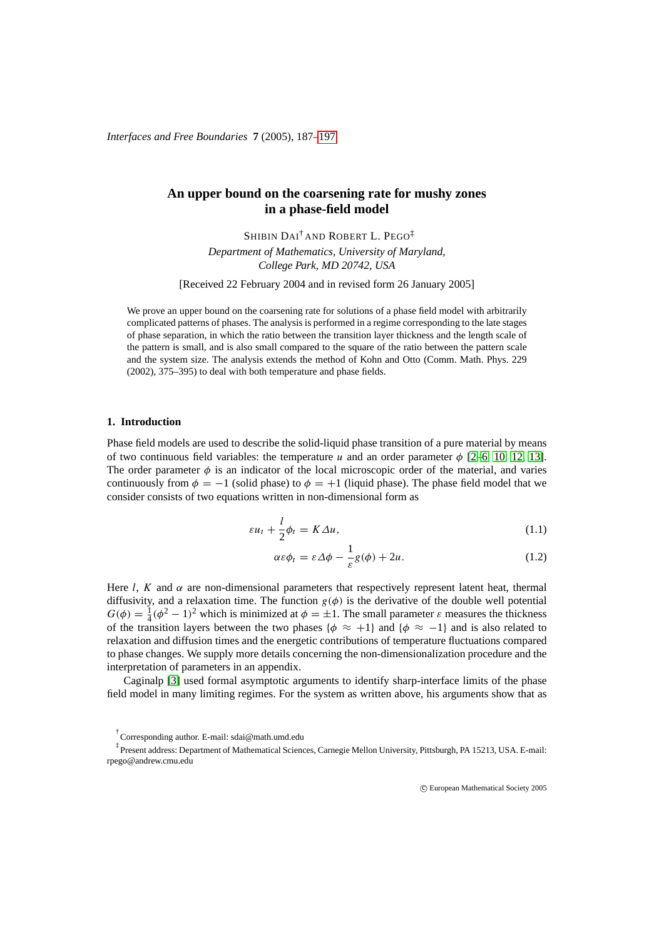# **An upper bound on the coarsening rate for mushy zones in a phase-field model**

SHIBIN DAI† AND ROBERT L. PEGO‡ *Department of Mathematics, University of Maryland, College Park, MD 20742, USA*

[Received 22 February 2004 and in revised form 26 January 2005]

We prove an upper bound on the coarsening rate for solutions of a phase field model with arbitrarily complicated patterns of phases. The analysis is performed in a regime corresponding to the late stages of phase separation, in which the ratio between the transition layer thickness and the length scale of the pattern is small, and is also small compared to the square of the ratio between the pattern scale and the system size. The analysis extends the method of Kohn and Otto (Comm. Math. Phys. 229 (2002), 375–395) to deal with both temperature and phase fields.

# **1. Introduction**

Phase field models are used to describe the solid-liquid phase transition of a pure material by means of two continuous field variables: the temperature u and an order parameter  $\phi$  [\[2](#page-9-0)[–6,](#page-10-1) [10,](#page-10-2) [12,](#page-10-3) [13\]](#page-10-4). The order parameter  $\phi$  is an indicator of the local microscopic order of the material, and varies continuously from  $\phi = -1$  (solid phase) to  $\phi = +1$  (liquid phase). The phase field model that we consider consists of two equations written in non-dimensional form as

<span id="page-0-0"></span>
$$
\varepsilon u_t + \frac{l}{2}\phi_t = K\Delta u,\tag{1.1}
$$

$$
\alpha \varepsilon \phi_t = \varepsilon \Delta \phi - \frac{1}{\varepsilon} g(\phi) + 2u. \tag{1.2}
$$

Here l, K and  $\alpha$  are non-dimensional parameters that respectively represent latent heat, thermal diffusivity, and a relaxation time. The function  $g(\phi)$  is the derivative of the double well potential  $G(\phi) = \frac{1}{4}(\phi^2 - 1)^2$  which is minimized at  $\phi = \pm 1$ . The small parameter  $\varepsilon$  measures the thickness of the transition layers between the two phases { $\phi \approx +1$ } and { $\phi \approx -1$ } and is also related to relaxation and diffusion times and the energetic contributions of temperature fluctuations compared to phase changes. We supply more details concerning the non-dimensionalization procedure and the interpretation of parameters in an appendix.

Caginalp [\[3\]](#page-10-5) used formal asymptotic arguments to identify sharp-interface limits of the phase field model in many limiting regimes. For the system as written above, his arguments show that as

c European Mathematical Society 2005

<sup>†</sup> Corresponding author. E-mail: sdai@math.umd.edu

<sup>‡</sup> Present address: Department of Mathematical Sciences, Carnegie Mellon University, Pittsburgh, PA 15213, USA. E-mail: rpego@andrew.cmu.edu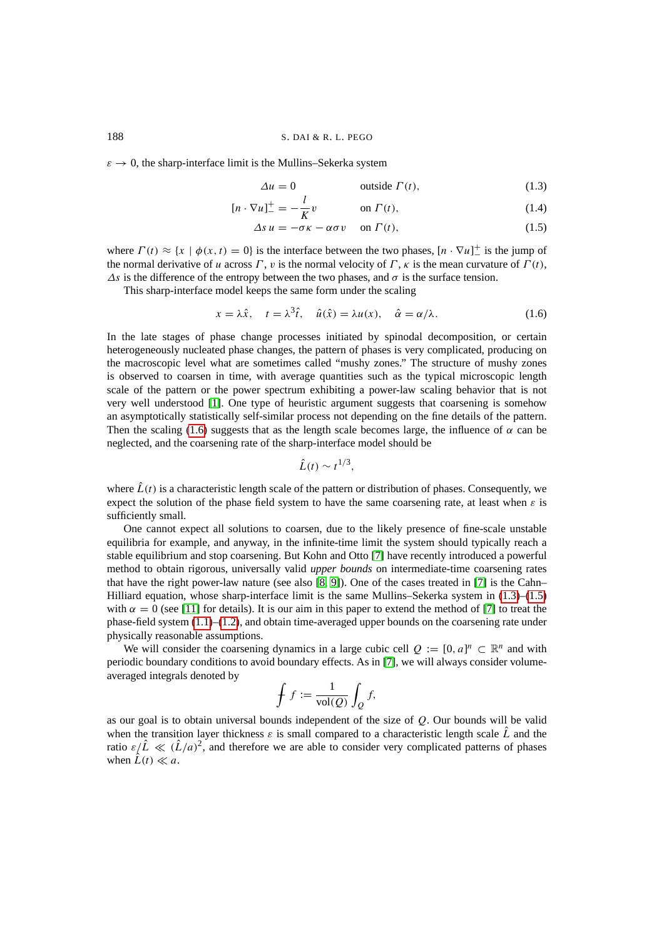#### 188 S. DAI & R. L. PEGO

 $\varepsilon \to 0$ , the sharp-interface limit is the Mullins–Sekerka system

<span id="page-1-1"></span>
$$
\Delta u = 0 \qquad \text{outside } \Gamma(t), \tag{1.3}
$$

$$
[n \cdot \nabla u]_{-}^{+} = -\frac{l}{K}v \qquad \text{on } \Gamma(t), \qquad (1.4)
$$

<span id="page-1-0"></span>
$$
\Delta s \, u = -\sigma \kappa - \alpha \sigma \, v \quad \text{on } \Gamma(t), \tag{1.5}
$$

where  $\Gamma(t) \approx \{x \mid \phi(x, t) = 0\}$  is the interface between the two phases,  $[n \cdot \nabla u]^+$  is the jump of the normal derivative of u across Γ, v is the normal velocity of Γ, κ is the mean curvature of  $\Gamma(t)$ ,  $\Delta s$  is the difference of the entropy between the two phases, and  $\sigma$  is the surface tension.

This sharp-interface model keeps the same form under the scaling

$$
x = \lambda \hat{x}, \quad t = \lambda^3 \hat{t}, \quad \hat{u}(\hat{x}) = \lambda u(x), \quad \hat{\alpha} = \alpha/\lambda.
$$
 (1.6)

In the late stages of phase change processes initiated by spinodal decomposition, or certain heterogeneously nucleated phase changes, the pattern of phases is very complicated, producing on the macroscopic level what are sometimes called "mushy zones." The structure of mushy zones is observed to coarsen in time, with average quantities such as the typical microscopic length scale of the pattern or the power spectrum exhibiting a power-law scaling behavior that is not very well understood [\[1\]](#page-9-1). One type of heuristic argument suggests that coarsening is somehow an asymptotically statistically self-similar process not depending on the fine details of the pattern. Then the scaling [\(1.6\)](#page-1-0) suggests that as the length scale becomes large, the influence of  $\alpha$  can be neglected, and the coarsening rate of the sharp-interface model should be

$$
\hat{L}(t)\sim t^{1/3},
$$

where  $\hat{L}(t)$  is a characteristic length scale of the pattern or distribution of phases. Consequently, we expect the solution of the phase field system to have the same coarsening rate, at least when  $\varepsilon$  is sufficiently small.

One cannot expect all solutions to coarsen, due to the likely presence of fine-scale unstable equilibria for example, and anyway, in the infinite-time limit the system should typically reach a stable equilibrium and stop coarsening. But Kohn and Otto [\[7\]](#page-10-6) have recently introduced a powerful method to obtain rigorous, universally valid *upper bounds* on intermediate-time coarsening rates that have the right power-law nature (see also [\[8,](#page-10-7) [9\]](#page-10-8)). One of the cases treated in [\[7\]](#page-10-6) is the Cahn– Hilliard equation, whose sharp-interface limit is the same Mullins–Sekerka system in [\(1.3\)](#page-1-1)–[\(1.5\)](#page-1-1) with  $\alpha = 0$  (see [\[11\]](#page-10-9) for details). It is our aim in this paper to extend the method of [\[7\]](#page-10-6) to treat the phase-field system  $(1.1)$ – $(1.2)$ , and obtain time-averaged upper bounds on the coarsening rate under physically reasonable assumptions.

We will consider the coarsening dynamics in a large cubic cell  $Q := [0, a]^n \subset \mathbb{R}^n$  and with periodic boundary conditions to avoid boundary effects. As in [\[7\]](#page-10-6), we will always consider volumeaveraged integrals denoted by

$$
\oint f := \frac{1}{\text{vol}(Q)} \int_Q f,
$$

as our goal is to obtain universal bounds independent of the size of  $Q$ . Our bounds will be valid when the transition layer thickness  $\varepsilon$  is small compared to a characteristic length scale  $\tilde{L}$  and the ratio  $\varepsilon/\hat{L} \ll (\hat{L}/a)^2$ , and therefore we are able to consider very complicated patterns of phases when  $\hat{L}(t) \ll a$ .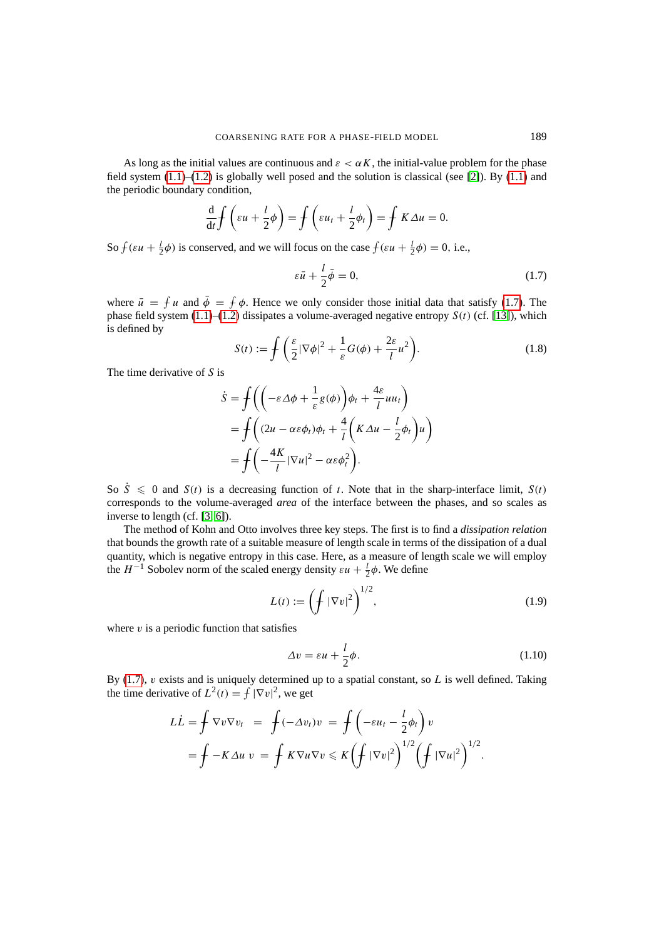As long as the initial values are continuous and  $\varepsilon < \alpha K$ , the initial-value problem for the phase field system  $(1.1)$ – $(1.2)$  is globally well posed and the solution is classical (see [\[2\]](#page-9-0)). By  $(1.1)$  and the periodic boundary condition,

$$
\frac{\mathrm{d}}{\mathrm{d}t} f\left(\varepsilon u + \frac{l}{2}\phi\right) = f\left(\varepsilon u_t + \frac{l}{2}\phi_t\right) = f K \Delta u = 0.
$$

So  $f(\varepsilon u + \frac{1}{2}\phi)$  is conserved, and we will focus on the case  $f(\varepsilon u + \frac{1}{2}\phi) = 0$ , i.e.,

<span id="page-2-0"></span>
$$
\varepsilon \bar{u} + \frac{l}{2} \bar{\phi} = 0,\tag{1.7}
$$

<span id="page-2-1"></span>where  $\bar{u} = f u$  and  $\bar{\phi} = f \phi$ . Hence we only consider those initial data that satisfy [\(1.7\)](#page-2-0). The phase field system  $(1.1)$ – $(1.2)$  dissipates a volume-averaged negative entropy  $S(t)$  (cf. [\[13\]](#page-10-4)), which is defined by

$$
S(t) := \int \left( \frac{\varepsilon}{2} |\nabla \phi|^2 + \frac{1}{\varepsilon} G(\phi) + \frac{2\varepsilon}{l} u^2 \right).
$$
 (1.8)

The time derivative of  $S$  is

$$
\dot{S} = \int \left( \left( -\varepsilon \Delta \phi + \frac{1}{\varepsilon} g(\phi) \right) \phi_t + \frac{4\varepsilon}{l} u u_t \right) \n= \int \left( (2u - \alpha \varepsilon \phi_t) \phi_t + \frac{4}{l} \left( K \Delta u - \frac{l}{2} \phi_t \right) u \right) \n= \int \left( -\frac{4K}{l} |\nabla u|^2 - \alpha \varepsilon \phi_t^2 \right).
$$

So  $\dot{S} \le 0$  and  $S(t)$  is a decreasing function of t. Note that in the sharp-interface limit,  $S(t)$ corresponds to the volume-averaged *area* of the interface between the phases, and so scales as inverse to length (cf. [\[3,](#page-10-5) [6\]](#page-10-1)).

The method of Kohn and Otto involves three key steps. The first is to find a *dissipation relation* that bounds the growth rate of a suitable measure of length scale in terms of the dissipation of a dual quantity, which is negative entropy in this case. Here, as a measure of length scale we will employ the  $H^{-1}$  Sobolev norm of the scaled energy density  $\varepsilon u + \frac{1}{2}\phi$ . We define

$$
L(t) := \left(\int |\nabla v|^2\right)^{1/2},\tag{1.9}
$$

where  $v$  is a periodic function that satisfies

<span id="page-2-2"></span>
$$
\Delta v = \varepsilon u + \frac{l}{2}\phi. \tag{1.10}
$$

By [\(1.7\)](#page-2-0),  $v$  exists and is uniquely determined up to a spatial constant, so  $L$  is well defined. Taking the time derivative of  $L^2(t) = \int |\nabla v|^2$ , we get

$$
L\dot{L} = \oint \nabla v \nabla v_t = \oint (-\Delta v_t) v = \oint \left( -\varepsilon u_t - \frac{l}{2} \phi_t \right) v
$$
  
= 
$$
\oint -K \Delta u v = \oint K \nabla u \nabla v \leq K \left( \oint |\nabla v|^2 \right)^{1/2} \left( \oint |\nabla u|^2 \right)^{1/2}.
$$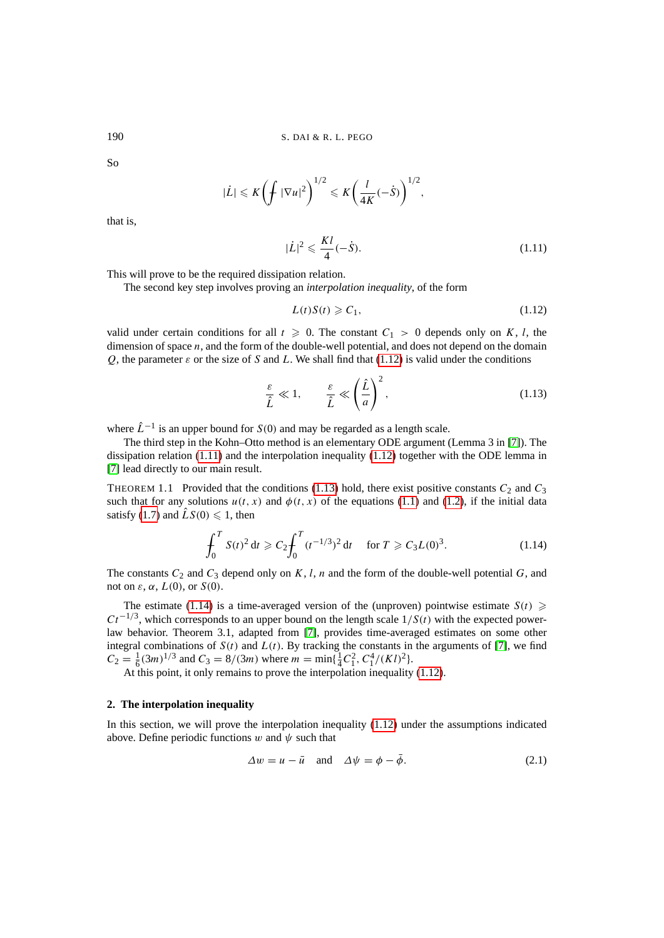So

$$
|\dot{L}| \leqslant K \left( \int |\nabla u|^2 \right)^{1/2} \leqslant K \left( \frac{l}{4K} (-\dot{S}) \right)^{1/2},
$$

that is,

<span id="page-3-1"></span>
$$
|\dot{L}|^2 \leqslant \frac{Kl}{4}(-\dot{S}).\tag{1.11}
$$

This will prove to be the required dissipation relation.

The second key step involves proving an *interpolation inequality*, of the form

<span id="page-3-2"></span><span id="page-3-0"></span>
$$
L(t)S(t) \geqslant C_1,\tag{1.12}
$$

valid under certain conditions for all  $t \ge 0$ . The constant  $C_1 > 0$  depends only on K, l, the dimension of space *n*, and the form of the double-well potential, and does not depend on the domain Q, the parameter  $\varepsilon$  or the size of S and L. We shall find that [\(1.12\)](#page-3-0) is valid under the conditions

$$
\frac{\varepsilon}{\hat{L}} \ll 1, \qquad \frac{\varepsilon}{\hat{L}} \ll \left(\frac{\hat{L}}{a}\right)^2,\tag{1.13}
$$

where  $\hat{L}^{-1}$  is an upper bound for  $S(0)$  and may be regarded as a length scale.

The third step in the Kohn–Otto method is an elementary ODE argument (Lemma 3 in [\[7\]](#page-10-6)). The dissipation relation  $(1.11)$  and the interpolation inequality  $(1.12)$  together with the ODE lemma in [\[7\]](#page-10-6) lead directly to our main result.

THEOREM 1.1 Provided that the conditions [\(1.13\)](#page-3-2) hold, there exist positive constants  $C_2$  and  $C_3$ such that for any solutions  $u(t, x)$  and  $\phi(t, x)$  of the equations [\(1.1\)](#page-0-0) and [\(1.2\)](#page-0-0), if the initial data satisfy [\(1.7\)](#page-2-0) and  $\hat{L}S(0) \leq 1$ , then

<span id="page-3-3"></span>
$$
\int_0^T S(t)^2 dt \geqslant C_2 \int_0^T (t^{-1/3})^2 dt \quad \text{for } T \geqslant C_3 L(0)^3. \tag{1.14}
$$

The constants  $C_2$  and  $C_3$  depend only on K, l, n and the form of the double-well potential G, and not on  $\varepsilon$ ,  $\alpha$ ,  $L(0)$ , or  $S(0)$ .

The estimate [\(1.14\)](#page-3-3) is a time-averaged version of the (unproven) pointwise estimate  $S(t) \geq$  $Ct^{-1/3}$ , which corresponds to an upper bound on the length scale  $1/S(t)$  with the expected powerlaw behavior. Theorem 3.1, adapted from [\[7\]](#page-10-6), provides time-averaged estimates on some other integral combinations of  $S(t)$  and  $L(t)$ . By tracking the constants in the arguments of [\[7\]](#page-10-6), we find  $C_2 = \frac{1}{6}(3m)^{1/3}$  and  $C_3 = 8/(3m)$  where  $m = \min{\frac{1}{4}C_1^2, C_1^4/(Kl)^2}$ .

At this point, it only remains to prove the interpolation inequality [\(1.12\)](#page-3-0).

## **2. The interpolation inequality**

In this section, we will prove the interpolation inequality [\(1.12\)](#page-3-0) under the assumptions indicated above. Define periodic functions w and  $\psi$  such that

<span id="page-3-4"></span>
$$
\Delta w = u - \bar{u} \quad \text{and} \quad \Delta \psi = \phi - \bar{\phi}.
$$
 (2.1)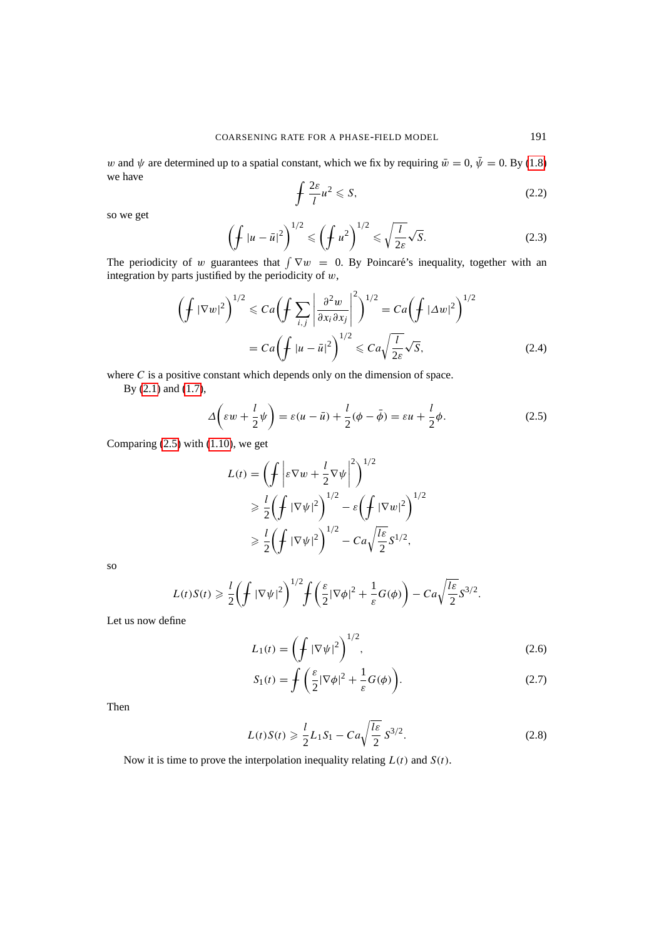w and  $\psi$  are determined up to a spatial constant, which we fix by requiring  $\bar{w} = 0$ ,  $\bar{\psi} = 0$ . By [\(1.8\)](#page-2-1) we have

$$
\oint \frac{2\varepsilon}{l} u^2 \leqslant S,\tag{2.2}
$$

so we get

$$
\left(\oint |u - \bar{u}|^2\right)^{1/2} \leqslant \left(\oint u^2\right)^{1/2} \leqslant \sqrt{\frac{l}{2\varepsilon}}\sqrt{S}.\tag{2.3}
$$

The periodicity of w guarantees that  $\int \nabla w = 0$ . By Poincaré's inequality, together with an integration by parts justified by the periodicity of  $w$ ,

$$
\left(\oint |\nabla w|^2\right)^{1/2} \leq C a \left(\oint \sum_{i,j} \left|\frac{\partial^2 w}{\partial x_i \partial x_j}\right|^2\right)^{1/2} = C a \left(\oint |\Delta w|^2\right)^{1/2}
$$

$$
= C a \left(\oint |u - \bar{u}|^2\right)^{1/2} \leq C a \sqrt{\frac{l}{2\varepsilon}} \sqrt{S},\tag{2.4}
$$

where  $C$  is a positive constant which depends only on the dimension of space.

By [\(2.1\)](#page-3-4) and [\(1.7\)](#page-2-0),

<span id="page-4-0"></span>
$$
\Delta\left(\varepsilon w + \frac{l}{2}\psi\right) = \varepsilon(u - \bar{u}) + \frac{l}{2}(\phi - \bar{\phi}) = \varepsilon u + \frac{l}{2}\phi.
$$
 (2.5)

Comparing  $(2.5)$  with  $(1.10)$ , we get

$$
L(t) = \left(\int \left| \varepsilon \nabla w + \frac{l}{2} \nabla \psi \right|^2 \right)^{1/2}
$$
  
\n
$$
\geq \frac{l}{2} \left(\int |\nabla \psi|^2 \right)^{1/2} - \varepsilon \left(\int |\nabla w|^2 \right)^{1/2}
$$
  
\n
$$
\geq \frac{l}{2} \left(\int |\nabla \psi|^2 \right)^{1/2} - C a \sqrt{\frac{l \varepsilon}{2}} S^{1/2},
$$

so

$$
L(t)S(t) \geq \frac{1}{2} \left( \int |\nabla \psi|^2 \right)^{1/2} \int \left( \frac{\varepsilon}{2} |\nabla \phi|^2 + \frac{1}{\varepsilon} G(\phi) \right) - C a \sqrt{\frac{l \varepsilon}{2}} S^{3/2}.
$$

Let us now define

$$
L_1(t) = \left(\int |\nabla \psi|^2\right)^{1/2},\tag{2.6}
$$

$$
S_1(t) = \int \left(\frac{\varepsilon}{2} |\nabla \phi|^2 + \frac{1}{\varepsilon} G(\phi)\right).
$$
 (2.7)

Then

<span id="page-4-1"></span>
$$
L(t)S(t) \geq \frac{l}{2}L_1S_1 - Ca\sqrt{\frac{l\varepsilon}{2}} S^{3/2}.
$$
 (2.8)

<span id="page-4-2"></span>Now it is time to prove the interpolation inequality relating  $L(t)$  and  $S(t)$ .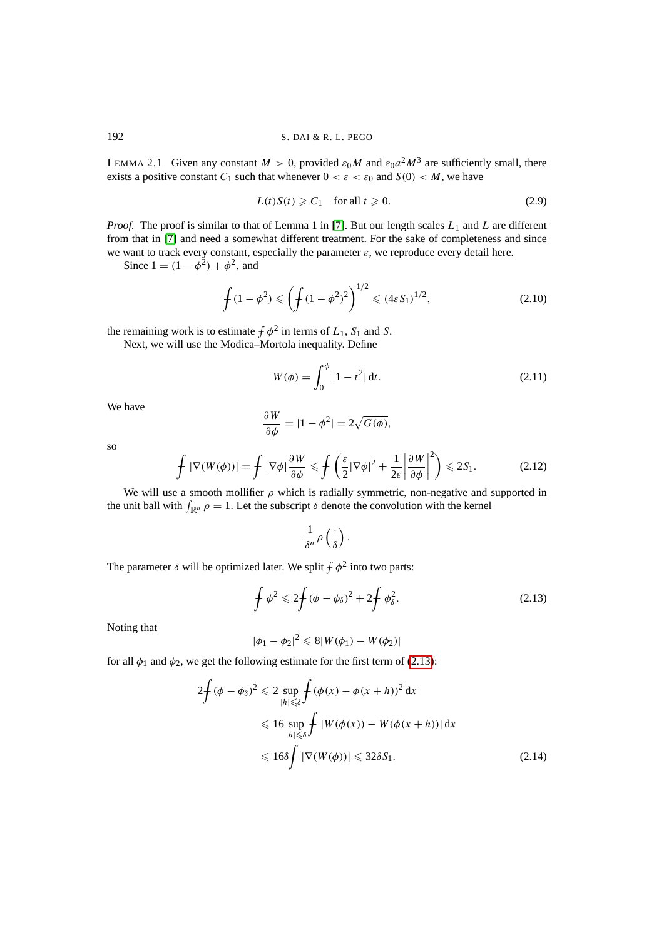LEMMA 2.1 Given any constant  $M > 0$ , provided  $\varepsilon_0 M$  and  $\varepsilon_0 a^2 M^3$  are sufficiently small, there exists a positive constant  $C_1$  such that whenever  $0 < \varepsilon < \varepsilon_0$  and  $S(0) < M$ , we have

<span id="page-5-2"></span>
$$
L(t)S(t) \geqslant C_1 \quad \text{for all } t \geqslant 0. \tag{2.9}
$$

*Proof.* The proof is similar to that of Lemma 1 in [\[7\]](#page-10-6). But our length scales  $L_1$  and L are different from that in [\[7\]](#page-10-6) and need a somewhat different treatment. For the sake of completeness and since we want to track every constant, especially the parameter  $\varepsilon$ , we reproduce every detail here.

Since  $1 = (1 - \phi^2) + \phi^2$ , and

<span id="page-5-1"></span>
$$
\oint (1 - \phi^2) \leqslant \left( \oint (1 - \phi^2)^2 \right)^{1/2} \leqslant (4\varepsilon S_1)^{1/2},\tag{2.10}
$$

the remaining work is to estimate  $\oint \phi^2$  in terms of  $L_1$ ,  $S_1$  and S.

Next, we will use the Modica–Mortola inequality. Define

$$
W(\phi) = \int_0^{\phi} |1 - t^2| \, \mathrm{d}t. \tag{2.11}
$$

We have

$$
\frac{\partial W}{\partial \phi} = |1 - \phi^2| = 2\sqrt{G(\phi)},
$$

so

$$
\int |\nabla(W(\phi))| = \int |\nabla \phi| \frac{\partial W}{\partial \phi} \le \int \left(\frac{\varepsilon}{2} |\nabla \phi|^2 + \frac{1}{2\varepsilon} \left| \frac{\partial W}{\partial \phi} \right|^2 \right) \le 2S_1.
$$
 (2.12)

We will use a smooth mollifier  $\rho$  which is radially symmetric, non-negative and supported in the unit ball with  $\int_{\mathbb{R}^n} \rho = 1$ . Let the subscript  $\delta$  denote the convolution with the kernel

<span id="page-5-0"></span>
$$
\frac{1}{\delta^n}\rho\left(\frac{\cdot}{\delta}\right).
$$

The parameter  $\delta$  will be optimized later. We split  $\oint \phi^2$  into two parts:

$$
\oint \phi^2 \leqslant 2 \oint (\phi - \phi_\delta)^2 + 2 \oint \phi_\delta^2. \tag{2.13}
$$

Noting that

$$
|\phi_1 - \phi_2|^2 \leq 8|W(\phi_1) - W(\phi_2)|
$$

for all  $\phi_1$  and  $\phi_2$ , we get the following estimate for the first term of [\(2.13\)](#page-5-0):

$$
2\oint (\phi - \phi_{\delta})^2 \leq 2 \sup_{|h| \leq \delta} \oint (\phi(x) - \phi(x+h))^2 dx
$$
  
\n
$$
\leq 16 \sup_{|h| \leq \delta} \oint |W(\phi(x)) - W(\phi(x+h))| dx
$$
  
\n
$$
\leq 16\delta \oint |\nabla (W(\phi))| \leq 32\delta S_1.
$$
\n(2.14)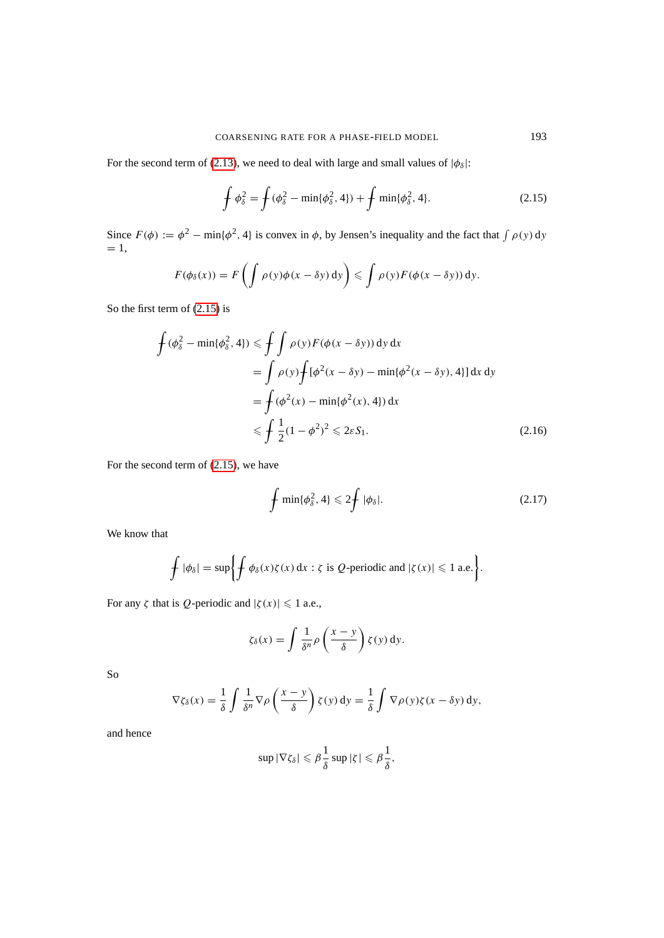For the second term of [\(2.13\)](#page-5-0), we need to deal with large and small values of  $|\phi_{\delta}|$ :

<span id="page-6-0"></span>
$$
\oint \phi_{\delta}^2 = \oint (\phi_{\delta}^2 - \min{\{\phi_{\delta}^2, 4\}}) + \oint \min{\{\phi_{\delta}^2, 4\}}.
$$
\n(2.15)

Since  $F(\phi) := \phi^2 - \min{\lbrace \phi^2, 4 \rbrace}$  is convex in  $\phi$ , by Jensen's inequality and the fact that  $\int \rho(y) dy$  $= 1$ ,

$$
F(\phi_{\delta}(x)) = F\left(\int \rho(y)\phi(x-\delta y) \,dy\right) \leqslant \int \rho(y)F(\phi(x-\delta y)) \,dy.
$$

So the first term of [\(2.15\)](#page-6-0) is

$$
\int (\phi_{\delta}^2 - \min{\lbrace \phi_{\delta}^2, 4 \rbrace}) \le \int \int \rho(y) F(\phi(x - \delta y)) \, dy \, dx
$$
\n
$$
= \int \rho(y) \int [\phi^2(x - \delta y) - \min{\lbrace \phi^2(x - \delta y), 4 \rbrace}] \, dx \, dy
$$
\n
$$
= \int (\phi^2(x) - \min{\lbrace \phi^2(x), 4 \rbrace}) \, dx
$$
\n
$$
\le \int \frac{1}{2} (1 - \phi^2)^2 \le 2\varepsilon S_1.
$$
\n(2.16)

For the second term of [\(2.15\)](#page-6-0), we have

$$
\oint \min\{\phi_\delta^2, 4\} \leqslant 2 \oint |\phi_\delta|. \tag{2.17}
$$

We know that

$$
\int |\phi_{\delta}| = \sup \left\{ \int \phi_{\delta}(x) \zeta(x) dx : \zeta \text{ is } Q \text{-periodic and } |\zeta(x)| \leq 1 \text{ a.e.} \right\}.
$$

For any ζ that is *Q*-periodic and  $|\zeta(x)| \leq 1$  a.e.,

$$
\zeta_{\delta}(x) = \int \frac{1}{\delta^n} \rho\left(\frac{x-y}{\delta}\right) \zeta(y) \, dy.
$$

So

$$
\nabla \zeta_\delta(x) = \frac{1}{\delta} \int \frac{1}{\delta^n} \nabla \rho \left( \frac{x - y}{\delta} \right) \zeta(y) \, dy = \frac{1}{\delta} \int \nabla \rho(y) \zeta(x - \delta y) \, dy,
$$

and hence

$$
\sup |\nabla \zeta_\delta| \leqslant \beta \frac{1}{\delta} \sup |\zeta| \leqslant \beta \frac{1}{\delta},
$$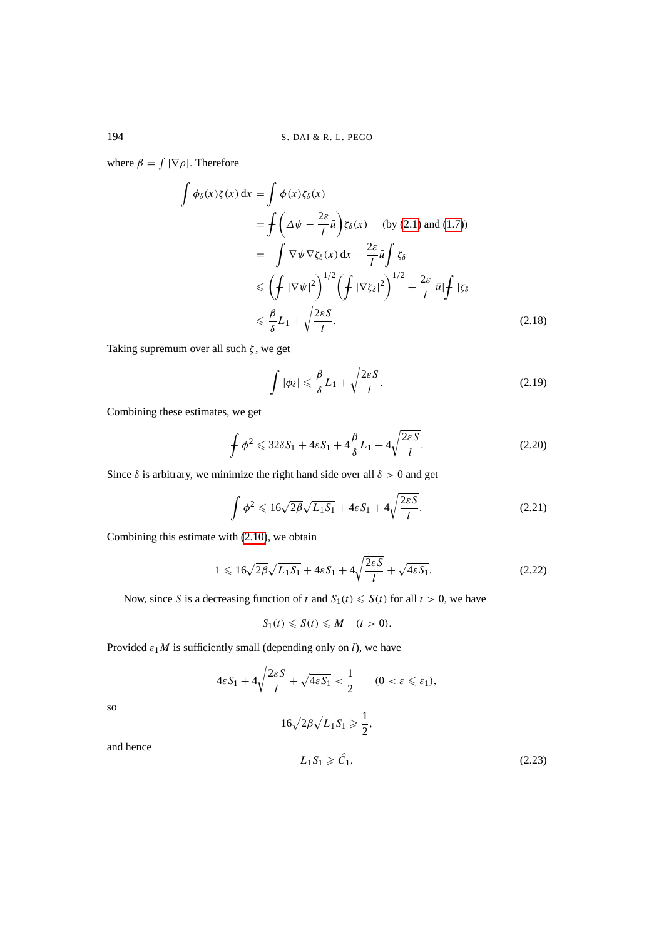where  $\beta = \int |\nabla \rho|$ . Therefore

$$
\oint \phi_{\delta}(x)\zeta(x) dx = \oint \phi(x)\zeta_{\delta}(x)
$$
\n
$$
= \oint \left(\Delta\psi - \frac{2\varepsilon}{l}\bar{u}\right)\zeta_{\delta}(x) \quad \text{(by (2.1) and (1.7))}
$$
\n
$$
= -\oint \nabla\psi \nabla\zeta_{\delta}(x) dx - \frac{2\varepsilon}{l}\bar{u}\int \zeta_{\delta}
$$
\n
$$
\leq \left(\oint |\nabla\psi|^2\right)^{1/2} \left(\oint |\nabla\zeta_{\delta}|^2\right)^{1/2} + \frac{2\varepsilon}{l}|\bar{u}|\int |\zeta_{\delta}|
$$
\n
$$
\leq \frac{\beta}{\delta}L_1 + \sqrt{\frac{2\varepsilon S}{l}}. \tag{2.18}
$$

Taking supremum over all such  $\zeta$ , we get

$$
\oint |\phi_{\delta}| \leq \frac{\beta}{\delta} L_1 + \sqrt{\frac{2\varepsilon S}{l}}.
$$
\n(2.19)

Combining these estimates, we get

$$
\oint \phi^2 \leqslant 32\delta S_1 + 4\varepsilon S_1 + 4\frac{\beta}{\delta} L_1 + 4\sqrt{\frac{2\varepsilon S}{l}}.\tag{2.20}
$$

Since  $\delta$  is arbitrary, we minimize the right hand side over all  $\delta > 0$  and get

$$
\oint \phi^2 \leqslant 16\sqrt{2\beta}\sqrt{L_1S_1} + 4\epsilon S_1 + 4\sqrt{\frac{2\epsilon S}{l}}.\tag{2.21}
$$

Combining this estimate with [\(2.10\)](#page-5-1), we obtain

$$
1 \leqslant 16\sqrt{2\beta}\sqrt{L_1S_1} + 4\varepsilon S_1 + 4\sqrt{\frac{2\varepsilon S}{l}} + \sqrt{4\varepsilon S_1}.\tag{2.22}
$$

Now, since S is a decreasing function of t and  $S_1(t) \le S(t)$  for all  $t > 0$ , we have

$$
S_1(t) \leqslant S(t) \leqslant M \quad (t > 0).
$$

Provided  $\varepsilon_1 M$  is sufficiently small (depending only on l), we have

$$
4\varepsilon S_1 + 4\sqrt{\frac{2\varepsilon S}{l}} + \sqrt{4\varepsilon S_1} < \frac{1}{2} \quad (0 < \varepsilon \leq \varepsilon_1),
$$
\n
$$
16\sqrt{2\beta}\sqrt{L_1 S_1} \geq \frac{1}{2},
$$

and hence

so

$$
L_1 S_1 \geqslant \hat{C}_1,\tag{2.23}
$$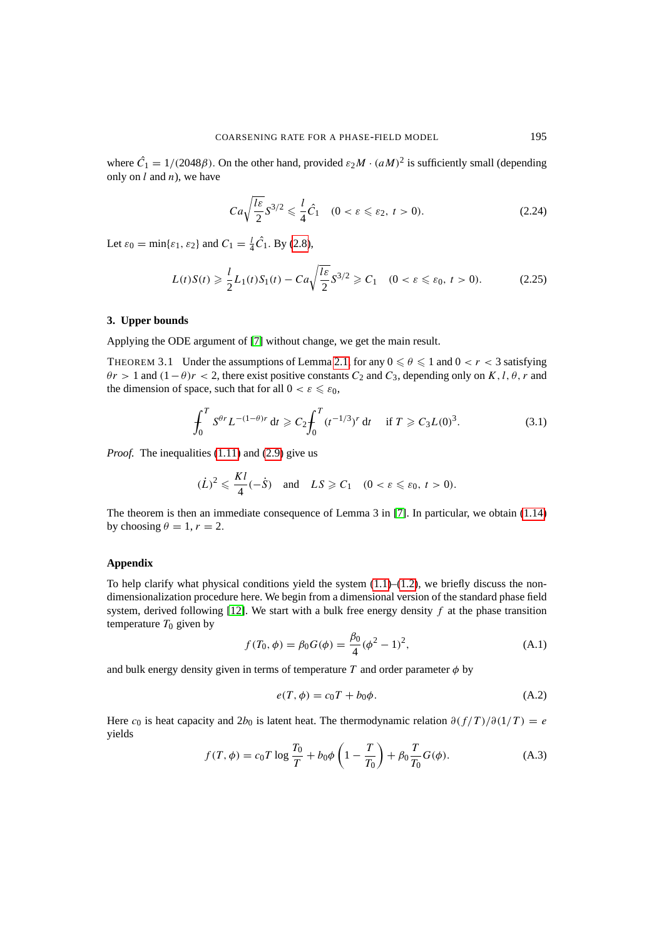where  $\hat{C}_1 = 1/(2048\beta)$ . On the other hand, provided  $\varepsilon_2 M \cdot (aM)^2$  is sufficiently small (depending only on  $l$  and  $n$ ), we have

$$
Ca\sqrt{\frac{l\varepsilon}{2}}S^{3/2} \leq \frac{l}{4}\hat{C}_1 \quad (0 < \varepsilon \leq \varepsilon_2, \ t > 0). \tag{2.24}
$$

Let  $\varepsilon_0 = \min\{\varepsilon_1, \varepsilon_2\}$  and  $C_1 = \frac{l}{4}\hat{C}_1$ . By [\(2.8\)](#page-4-1),

$$
L(t)S(t) \ge \frac{l}{2}L_1(t)S_1(t) - Ca\sqrt{\frac{l\varepsilon}{2}}S^{3/2} \ge C_1 \quad (0 < \varepsilon \le \varepsilon_0, \ t > 0). \tag{2.25}
$$

#### **3. Upper bounds**

Applying the ODE argument of [\[7\]](#page-10-6) without change, we get the main result.

THEOREM 3.1 Under the assumptions of Lemma [2.1,](#page-4-2) for any  $0 \le \theta \le 1$  and  $0 < r < 3$  satisfying  $\theta r > 1$  and  $(1 - \theta)r < 2$ , there exist positive constants  $C_2$  and  $C_3$ , depending only on K, l,  $\theta$ , r and the dimension of space, such that for all  $0 < \varepsilon \leq \varepsilon_0$ ,

$$
\int_0^T S^{\theta r} L^{-(1-\theta)r} dt \geqslant C_2 \int_0^T (t^{-1/3})^r dt \quad \text{if } T \geqslant C_3 L(0)^3. \tag{3.1}
$$

*Proof.* The inequalities [\(1.11\)](#page-3-1) and [\(2.9\)](#page-5-2) give us

$$
(\dot{L})^2 \leqslant \frac{Kl}{4}(-\dot{S}) \quad \text{and} \quad LS \geqslant C_1 \quad (0 < \varepsilon \leqslant \varepsilon_0, \ t > 0).
$$

The theorem is then an immediate consequence of Lemma 3 in [\[7\]](#page-10-6). In particular, we obtain [\(1.14\)](#page-3-3) by choosing  $\theta = 1, r = 2$ .

# **Appendix**

To help clarify what physical conditions yield the system  $(1.1)$ – $(1.2)$ , we briefly discuss the nondimensionalization procedure here. We begin from a dimensional version of the standard phase field system, derived following [\[12\]](#page-10-3). We start with a bulk free energy density  $f$  at the phase transition temperature  $T_0$  given by

$$
f(T_0, \phi) = \beta_0 G(\phi) = \frac{\beta_0}{4} (\phi^2 - 1)^2,
$$
 (A.1)

and bulk energy density given in terms of temperature T and order parameter  $\phi$  by

$$
e(T, \phi) = c_0 T + b_0 \phi. \tag{A.2}
$$

Here  $c_0$  is heat capacity and  $2b_0$  is latent heat. The thermodynamic relation  $\partial(f/T)/\partial(1/T) = e$ yields

$$
f(T, \phi) = c_0 T \log \frac{T_0}{T} + b_0 \phi \left( 1 - \frac{T}{T_0} \right) + \beta_0 \frac{T}{T_0} G(\phi).
$$
 (A.3)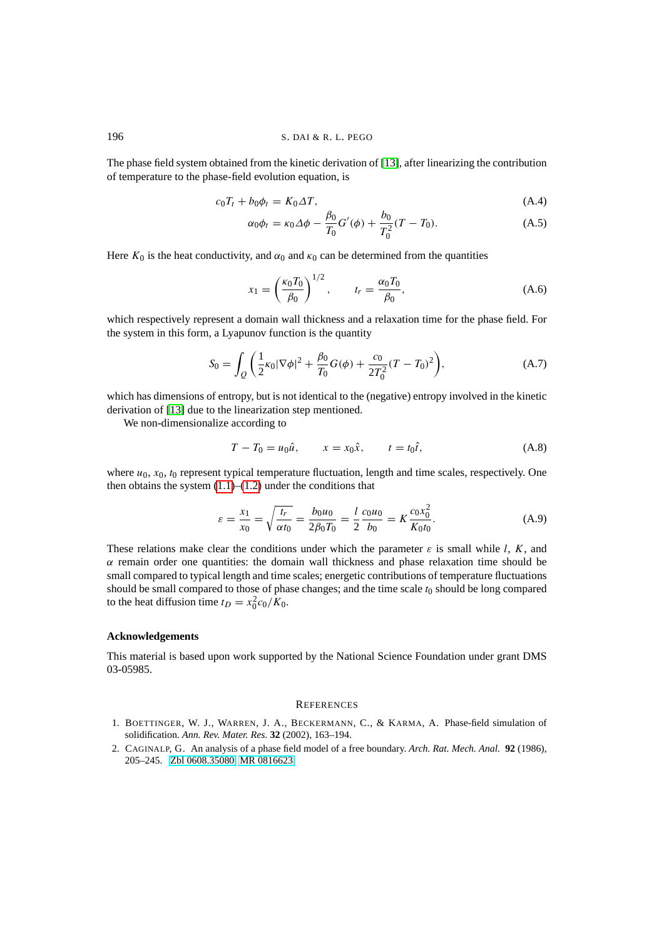#### 196 S. DAI & R. L. PEGO

The phase field system obtained from the kinetic derivation of [\[13\]](#page-10-4), after linearizing the contribution of temperature to the phase-field evolution equation, is

$$
c_0 T_t + b_0 \phi_t = K_0 \Delta T, \tag{A.4}
$$

$$
\alpha_0 \phi_t = \kappa_0 \Delta \phi - \frac{\beta_0}{T_0} G'(\phi) + \frac{b_0}{T_0^2} (T - T_0). \tag{A.5}
$$

Here  $K_0$  is the heat conductivity, and  $\alpha_0$  and  $\kappa_0$  can be determined from the quantities

$$
x_1 = \left(\frac{\kappa_0 T_0}{\beta_0}\right)^{1/2}, \qquad t_r = \frac{\alpha_0 T_0}{\beta_0}, \tag{A.6}
$$

which respectively represent a domain wall thickness and a relaxation time for the phase field. For the system in this form, a Lyapunov function is the quantity

$$
S_0 = \int_{Q} \left( \frac{1}{2} \kappa_0 |\nabla \phi|^2 + \frac{\beta_0}{T_0} G(\phi) + \frac{c_0}{2T_0^2} (T - T_0)^2 \right), \tag{A.7}
$$

which has dimensions of entropy, but is not identical to the (negative) entropy involved in the kinetic derivation of [\[13\]](#page-10-4) due to the linearization step mentioned.

We non-dimensionalize according to

$$
T - T_0 = u_0 \hat{u}, \qquad x = x_0 \hat{x}, \qquad t = t_0 \hat{t}, \tag{A.8}
$$

where  $u_0$ ,  $x_0$ ,  $t_0$  represent typical temperature fluctuation, length and time scales, respectively. One then obtains the system  $(1.1)$ – $(1.2)$  under the conditions that

$$
\varepsilon = \frac{x_1}{x_0} = \sqrt{\frac{t_r}{\alpha t_0}} = \frac{b_0 u_0}{2\beta_0 T_0} = \frac{l}{2} \frac{c_0 u_0}{b_0} = K \frac{c_0 x_0^2}{K_0 t_0}.
$$
 (A.9)

These relations make clear the conditions under which the parameter  $\varepsilon$  is small while l, K, and  $\alpha$  remain order one quantities: the domain wall thickness and phase relaxation time should be small compared to typical length and time scales; energetic contributions of temperature fluctuations should be small compared to those of phase changes; and the time scale  $t_0$  should be long compared to the heat diffusion time  $t_D = x_0^2 c_0/K_0$ .

#### **Acknowledgements**

This material is based upon work supported by the National Science Foundation under grant DMS 03-05985.

### **REFERENCES**

- <span id="page-9-1"></span>1. BOETTINGER, W. J., WARREN, J. A., BECKERMANN, C., & KARMA, A. Phase-field simulation of solidification. *Ann. Rev. Mater. Res.* **32** (2002), 163–194.
- <span id="page-9-0"></span>2. CAGINALP, G. An analysis of a phase field model of a free boundary. *Arch. Rat. Mech. Anal.* **92** (1986), 205–245. [Zbl 0608.35080](http://www.emis.de:80/cgi-bin/zmen/ZMATH/en/quick.html?first=1&maxdocs=20&type=html&an=0608.35080&format=complete) [MR 0816623](http://www.ams.org/mathscinet-getitem?mr=0816623)